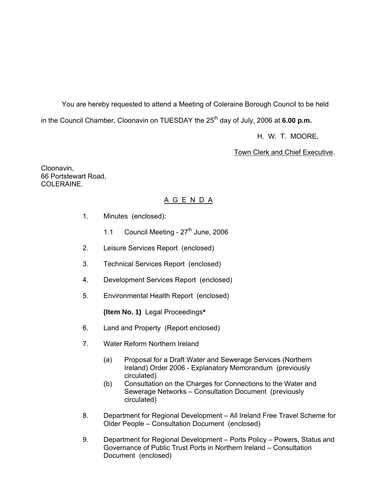You are hereby requested to attend a Meeting of Coleraine Borough Council to be held in the Council Chamber, Cloonavin on TUESDAY the 25<sup>th</sup> day of July, 2006 at **6.00 p.m.** 

H. W. T. MOORE,

Town Clerk and Chief Executive.

Cloonavin, 66 Portstewart Road, COLERAINE.

# A G E N D A

- 1. Minutes (enclosed):
	- 1.1 Council Meeting  $27<sup>th</sup>$  June, 2006
- 2. Leisure Services Report (enclosed)
- 3. Technical Services Report (enclosed)
- 4. Development Services Report (enclosed)
- 5. Environmental Health Report(enclosed)

**(Item No. 1)** Legal Proceedings**\*** 

- 6. Land and Property (Report enclosed)
- 7. Water Reform Northern Ireland
	- (a) Proposal for a Draft Water and Sewerage Services (Northern Ireland) Order 2006 - Explanatory Memorandum (previously circulated)
	- (b) Consultation on the Charges for Connections to the Water and Sewerage Networks – Consultation Document (previously circulated)
- 8. Department for Regional Development All Ireland Free Travel Scheme for Older People – Consultation Document (enclosed)
- 9. Department for Regional Development Ports Policy Powers, Status and Governance of Public Trust Ports in Northern Ireland – Consultation Document (enclosed)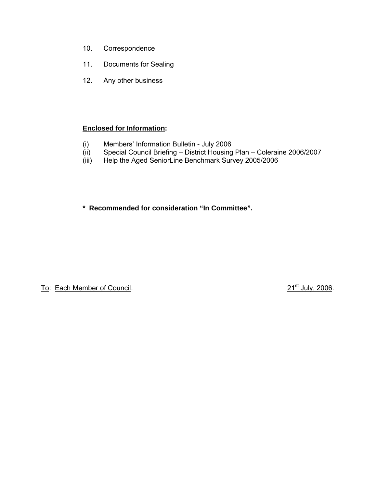- 10. Correspondence
- 11. Documents for Sealing
- 12. Any other business

# **Enclosed for Information:**

- (i) Members' Information Bulletin July 2006
- (ii) Special Council Briefing District Housing Plan Coleraine 2006/2007
- (iii) Help the Aged SeniorLine Benchmark Survey 2005/2006

**\* Recommended for consideration "In Committee".** 

To: Each Member of Council. 2006. To: Each Member of Council.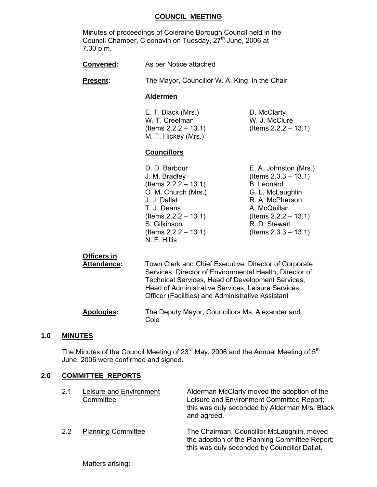#### **COUNCIL MEETING**

 Minutes of proceedings of Coleraine Borough Council held in the Council Chamber, Cloonavin on Tuesday, 27<sup>th</sup> June, 2006 at 7.30 p.m.

| As per Notice attached<br><b>Convened:</b> |
|--------------------------------------------|
|--------------------------------------------|

**Present:** The Mayor, Councillor W. A. King, in the Chair

#### **Aldermen**

E. T. Black (Mrs.) D. McClarty W. T. Creelman W. J. McClure M. T. Hickey (Mrs.)

(Items 2.2.2 – 13.1) (Items 2.2.2 – 13.1)

#### **Councillors**

 (Items 2.2.2 – 13.1) B. Leonard O. M. Church (Mrs.) G. L. McLaughlin J. J. Dallat R. A. McPherson T. J. Deans A. McQuillan S. Gilkinson R. D. Stewart (Items 2.2.2 – 13.1) (Items 2.3.3 – 13.1) N. F. Hillis

D. D. Barbour **E. A. Johnston (Mrs.)**  J. M. Bradley (Items 2.3.3 – 13.1) (Items 2.2.2 – 13.1) (Items 2.2.2 – 13.1)

### **Officers in**

 **Attendance:** Town Clerk and Chief Executive, Director of Corporate Services, Director of Environmental Health, Director of Technical Services, Head of Development Services, Head of Administrative Services, Leisure Services Officer (Facilities) and Administrative Assistant

#### **Apologies:** The Deputy Mayor, Councillors Ms. Alexander and Cole

### **1.0 MINUTES**

The Minutes of the Council Meeting of  $23<sup>rd</sup>$  May, 2006 and the Annual Meeting of  $5<sup>th</sup>$ June, 2006 were confirmed and signed.

#### **2.0 COMMITTEE REPORTS**

| 2.1 | Leisure and Environment<br>Committee | Alderman McClarty moved the adoption of the<br>Leisure and Environment Committee Report;<br>this was duly seconded by Alderman Mrs. Black<br>and agreed. |
|-----|--------------------------------------|----------------------------------------------------------------------------------------------------------------------------------------------------------|
| 22  | <b>Planning Committee</b>            | The Chairman, Councillor McLaughlin, moved<br>the adoption of the Planning Committee Report;<br>this was duly seconded by Councillor Dallat.             |

Matters arising: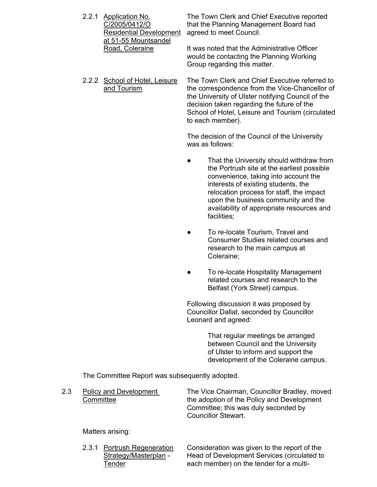| 2.2.1 Application No.          | The Town Clerk and Chief Executive reported                                                                              |
|--------------------------------|--------------------------------------------------------------------------------------------------------------------------|
| C/2005/0412/O                  | that the Planning Management Board had                                                                                   |
| <b>Residential Development</b> | agreed to meet Council.                                                                                                  |
| at 51-55 Mountsandel           |                                                                                                                          |
| Road, Coleraine                | It was noted that the Administrative Officer<br>would be contacting the Planning Working<br>Group regarding this matter. |

 2.2.2 School of Hotel, Leisure The Town Clerk and Chief Executive referred to and Tourism the correspondence from the Vice-Chancellor of the University of Ulster notifying Council of the decision taken regarding the future of the School of Hotel, Leisure and Tourism (circulated to each member).

> The decision of the Council of the University was as follows:

- That the University should withdraw from the Portrush site at the earliest possible convenience, taking into account the interests of existing students, the relocation process for staff, the impact upon the business community and the availability of appropriate resources and facilities;
- To re-locate Tourism, Travel and Consumer Studies related courses and research to the main campus at Coleraine;
- To re-locate Hospitality Management related courses and research to the Belfast (York Street) campus.

 Following discussion it was proposed by Councillor Dallat, seconded by Councillor Leonard and agreed:

> That regular meetings be arranged between Council and the University of Ulster to inform and support the development of the Coleraine campus.

The Committee Report was subsequently adopted.

2.3 Policy and Development The Vice Chairman, Councillor Bradley, moved Committee the adoption of the Policy and Development Committee; this was duly seconded by Councillor Stewart.

Matters arising:

 2.3.1 Portrush Regeneration Consideration was given to the report of the Strategy/Masterplan - Head of Development Services (circulated to Tender each member) on the tender for a multi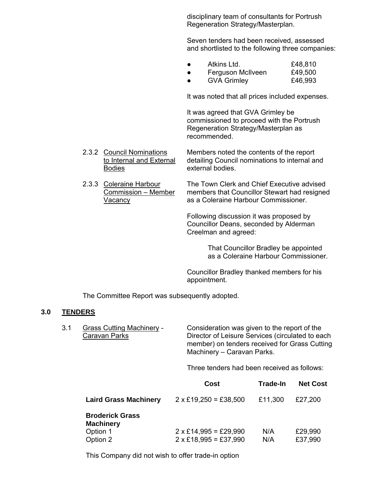disciplinary team of consultants for Portrush Regeneration Strategy/Masterplan.

 Seven tenders had been received, assessed and shortlisted to the following three companies:

|  | Atkins Ltd.       | £48,810        |
|--|-------------------|----------------|
|  | Eorgueon Mollypon | <b>CAO EOO</b> |

 ● Ferguson McIlveen £49,500 ● GVA Grimley £46,993

It was noted that all prices included expenses.

 It was agreed that GVA Grimley be commissioned to proceed with the Portrush Regeneration Strategy/Masterplan as recommended.

 2.3.2 Council Nominations Members noted the contents of the report to Internal and External detailing Council nominations to internal and Bodies external bodies.

 2.3.3 Coleraine Harbour The Town Clerk and Chief Executive advised Commission – Member members that Councillor Stewart had resigned Vacancy as a Coleraine Harbour Commissioner.

> Following discussion it was proposed by Councillor Deans, seconded by Alderman Creelman and agreed:

> > That Councillor Bradley be appointed as a Coleraine Harbour Commissioner.

 Councillor Bradley thanked members for his appointment.

The Committee Report was subsequently adopted.

#### **3.0 TENDERS**

 3.1 Grass Cutting Machinery - Consideration was given to the report of the Caravan Parks Director of Leisure Services (circulated to each member) on tenders received for Grass Cutting Machinery – Caravan Parks.

Three tenders had been received as follows:

|                                                                    | Cost                                                         | <b>Trade-In</b> | <b>Net Cost</b>    |
|--------------------------------------------------------------------|--------------------------------------------------------------|-----------------|--------------------|
| <b>Laird Grass Machinery</b>                                       | $2 \times £19,250 = £38,500$                                 | £11,300         | £27,200            |
| <b>Broderick Grass</b><br><b>Machinery</b><br>Option 1<br>Option 2 | $2 \times$ £14,995 = £29,990<br>$2 \times £18,995 = £37,990$ | N/A<br>N/A      | £29,990<br>£37,990 |

This Company did not wish to offer trade-in option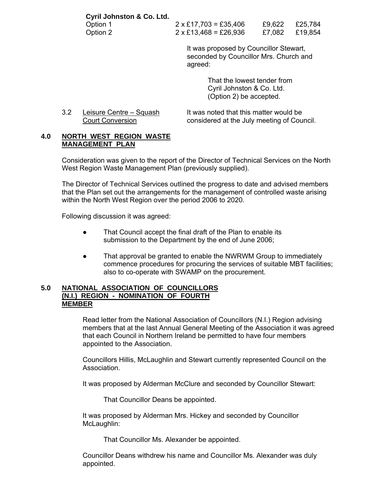| Cyril Johnston & Co. Ltd. |                              |        |         |
|---------------------------|------------------------------|--------|---------|
| Option 1                  | $2 \times £17,703 = £35,406$ | £9.622 | £25,784 |
| Option 2                  | $2 \times$ £13,468 = £26,936 | £7.082 | £19,854 |

 It was proposed by Councillor Stewart, seconded by Councillor Mrs. Church and agreed:

> That the lowest tender from Cyril Johnston & Co. Ltd. (Option 2) be accepted.

| Leisure Centre – Squash | It was noted that this matter would be     |
|-------------------------|--------------------------------------------|
| Court Conversion        | considered at the July meeting of Council. |

### **4.0 NORTH WEST REGION WASTE MANAGEMENT PLAN**

 Consideration was given to the report of the Director of Technical Services on the North West Region Waste Management Plan (previously supplied).

 The Director of Technical Services outlined the progress to date and advised members that the Plan set out the arrangements for the management of controlled waste arising within the North West Region over the period 2006 to 2020.

Following discussion it was agreed:

- That Council accept the final draft of the Plan to enable its submission to the Department by the end of June 2006;
- That approval be granted to enable the NWRWM Group to immediately commence procedures for procuring the services of suitable MBT facilities; also to co-operate with SWAMP on the procurement.

#### **5.0 NATIONAL ASSOCIATION OF COUNCILLORS (N.I.) REGION - NOMINATION OF FOURTH MEMBER**

 Read letter from the National Association of Councillors (N.I.) Region advising members that at the last Annual General Meeting of the Association it was agreed that each Council in Northern Ireland be permitted to have four members appointed to the Association.

 Councillors Hillis, McLaughlin and Stewart currently represented Council on the Association.

It was proposed by Alderman McClure and seconded by Councillor Stewart:

That Councillor Deans be appointed.

 It was proposed by Alderman Mrs. Hickey and seconded by Councillor McLaughlin:

That Councillor Ms. Alexander be appointed.

 Councillor Deans withdrew his name and Councillor Ms. Alexander was duly appointed.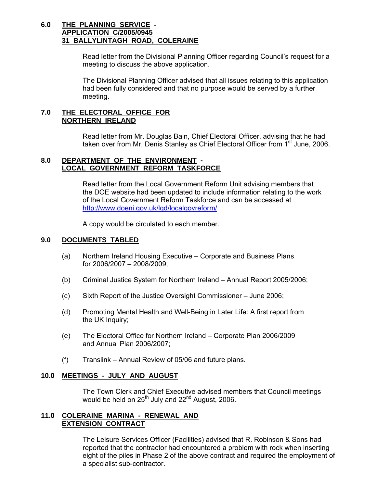## **6.0 THE PLANNING SERVICE - APPLICATION C/2005/0945 31 BALLYLINTAGH ROAD, COLERAINE**

Read letter from the Divisional Planning Officer regarding Council's request for a meeting to discuss the above application.

 The Divisional Planning Officer advised that all issues relating to this application had been fully considered and that no purpose would be served by a further meeting.

#### **7.0 THE ELECTORAL OFFICE FOR NORTHERN IRELAND**

 Read letter from Mr. Douglas Bain, Chief Electoral Officer, advising that he had taken over from Mr. Denis Stanley as Chief Electoral Officer from 1<sup>st</sup> June, 2006.

### **8.0 DEPARTMENT OF THE ENVIRONMENT - LOCAL GOVERNMENT REFORM TASKFORCE**

 Read letter from the Local Government Reform Unit advising members that the DOE website had been updated to include information relating to the work of the Local Government Reform Taskforce and can be accessed at http://www.doeni.gov.uk/lgd/localgovreform/

A copy would be circulated to each member.

## **9.0 DOCUMENTS TABLED**

- (a) Northern Ireland Housing Executive Corporate and Business Plans for 2006/2007 – 2008/2009;
- (b) Criminal Justice System for Northern Ireland Annual Report 2005/2006;
- (c) Sixth Report of the Justice Oversight Commissioner June 2006;
- (d) Promoting Mental Health and Well-Being in Later Life: A first report from the UK Inquiry;
- (e) The Electoral Office for Northern Ireland Corporate Plan 2006/2009 and Annual Plan 2006/2007;
- (f) Translink Annual Review of 05/06 and future plans.

### **10.0 MEETINGS - JULY AND AUGUST**

The Town Clerk and Chief Executive advised members that Council meetings would be held on  $25^{th}$  July and  $22^{nd}$  August, 2006.

### **11.0 COLERAINE MARINA - RENEWAL AND EXTENSION CONTRACT**

 The Leisure Services Officer (Facilities) advised that R. Robinson & Sons had reported that the contractor had encountered a problem with rock when inserting eight of the piles in Phase 2 of the above contract and required the employment of a specialist sub-contractor.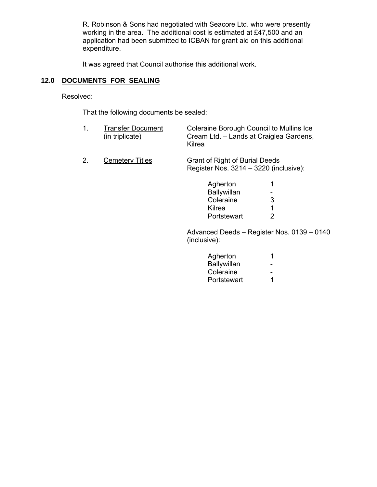R. Robinson & Sons had negotiated with Seacore Ltd. who were presently working in the area. The additional cost is estimated at £47,500 and an application had been submitted to ICBAN for grant aid on this additional expenditure.

It was agreed that Council authorise this additional work.

# **12.0 DOCUMENTS FOR SEALING**

Resolved:

That the following documents be sealed:

| <b>Transfer Document</b> | Coleraine Borough Council to Mullins Ice |
|--------------------------|------------------------------------------|
| (in triplicate)          | Cream Ltd. – Lands at Craiglea Gardens,  |
|                          | Kilrea                                   |

2. Cemetery Titles Grant of Right of Burial Deeds Register Nos. 3214 – 3220 (inclusive):

| Agherton    | $\mathbf 1$              |
|-------------|--------------------------|
| Ballywillan | $\overline{\phantom{0}}$ |
| Coleraine   | 3                        |
| Kilrea      | $\overline{1}$           |
| Portstewart | 2                        |

 Advanced Deeds – Register Nos. 0139 – 0140 (inclusive):

| Agherton    |   |
|-------------|---|
| Ballywillan | - |
| Coleraine   | - |
| Portstewart |   |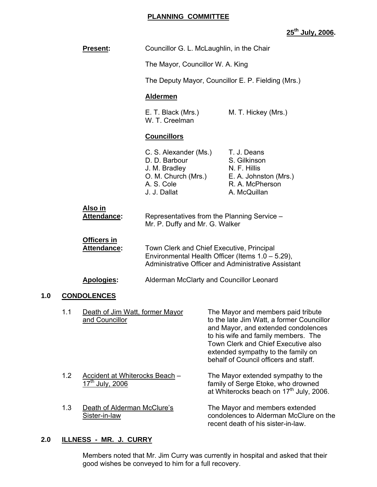### **PLANNING COMMITTEE**

# **25th July, 2006.**

|     |     | <b>Present:</b>                                               | Councillor G. L. McLaughlin, in the Chair                                                                                                            |                                          |                                                                                                                                                                                                                                                                                     |
|-----|-----|---------------------------------------------------------------|------------------------------------------------------------------------------------------------------------------------------------------------------|------------------------------------------|-------------------------------------------------------------------------------------------------------------------------------------------------------------------------------------------------------------------------------------------------------------------------------------|
|     |     |                                                               | The Mayor, Councillor W. A. King                                                                                                                     |                                          |                                                                                                                                                                                                                                                                                     |
|     |     |                                                               |                                                                                                                                                      |                                          | The Deputy Mayor, Councillor E. P. Fielding (Mrs.)                                                                                                                                                                                                                                  |
|     |     |                                                               | <b>Aldermen</b>                                                                                                                                      |                                          |                                                                                                                                                                                                                                                                                     |
|     |     |                                                               | E. T. Black (Mrs.)<br>W. T. Creelman                                                                                                                 |                                          | M. T. Hickey (Mrs.)                                                                                                                                                                                                                                                                 |
|     |     |                                                               | <b>Councillors</b>                                                                                                                                   |                                          |                                                                                                                                                                                                                                                                                     |
|     |     |                                                               | C. S. Alexander (Ms.) T. J. Deans<br>D. D. Barbour<br>J. M. Bradley<br>A. S. Cole<br>J. J. Dallat                                                    |                                          | S. Gilkinson<br>N. F. Hillis<br>O. M. Church (Mrs.) E. A. Johnston (Mrs.)<br>R. A. McPherson<br>A. McQuillan                                                                                                                                                                        |
|     |     | <u>Also in</u><br>Attendance:                                 | Representatives from the Planning Service -<br>Mr. P. Duffy and Mr. G. Walker                                                                        |                                          |                                                                                                                                                                                                                                                                                     |
|     |     | <b>Officers in</b><br><b>Attendance:</b>                      | Town Clerk and Chief Executive, Principal<br>Environmental Health Officer (Items 1.0 - 5.29),<br>Administrative Officer and Administrative Assistant |                                          |                                                                                                                                                                                                                                                                                     |
|     |     | Apologies:                                                    |                                                                                                                                                      | Alderman McClarty and Councillor Leonard |                                                                                                                                                                                                                                                                                     |
| 1.0 |     | <b>CONDOLENCES</b>                                            |                                                                                                                                                      |                                          |                                                                                                                                                                                                                                                                                     |
|     | 1.1 | Death of Jim Watt, former Mayor<br>and Councillor             |                                                                                                                                                      |                                          | The Mayor and members paid tribute<br>to the late Jim Watt, a former Councillor<br>and Mayor, and extended condolences<br>to his wife and family members. The<br>Town Clerk and Chief Executive also<br>extended sympathy to the family on<br>behalf of Council officers and staff. |
|     | 1.2 | Accident at Whiterocks Beach -<br>17 <sup>th</sup> July, 2006 |                                                                                                                                                      |                                          | The Mayor extended sympathy to the<br>family of Serge Etoke, who drowned<br>at Whiterocks beach on 17 <sup>th</sup> July, 2006.                                                                                                                                                     |
|     | 1.3 | Death of Alderman McClure's<br>Sister-in-law                  |                                                                                                                                                      |                                          | The Mayor and members extended<br>condolences to Alderman McClure on the<br>recent death of his sister-in-law.                                                                                                                                                                      |

## **2.0 ILLNESS - MR. J. CURRY**

Members noted that Mr. Jim Curry was currently in hospital and asked that their good wishes be conveyed to him for a full recovery.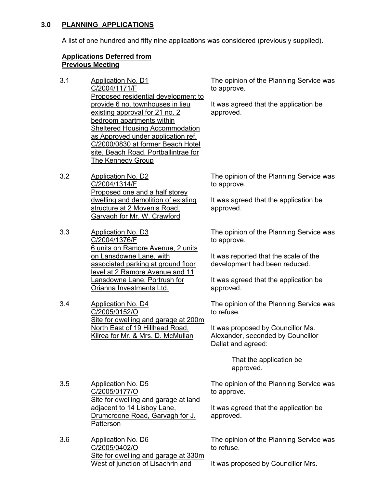# **3.0 PLANNING APPLICATIONS**

A list of one hundred and fifty nine applications was considered (previously supplied).

# **Applications Deferred from Previous Meeting**

- 3.1 Application No. D1 C/2004/1171/F Proposed residential development to provide 6 no. townhouses in lieu existing approval for 21 no. 2 bedroom apartments within Sheltered Housing Accommodation as Approved under application ref. C/2000/0830 at former Beach Hotel site, Beach Road, Portballintrae for The Kennedy Group
- 3.2 Application No. D2 C/2004/1314/F Proposed one and a half storey dwelling and demolition of existing structure at 2 Movenis Road, Garvagh for Mr. W. Crawford
- 3.3 Application No. D3 C/2004/1376/F 6 units on Ramore Avenue, 2 units on Lansdowne Lane, with associated parking at ground floor level at 2 Ramore Avenue and 11 Lansdowne Lane, Portrush for Orianna Investments Ltd.
- 3.4 Application No. D4 C/2005/0152/O Site for dwelling and garage at 200m North East of 19 Hillhead Road, Kilrea for Mr. & Mrs. D. McMullan

The opinion of the Planning Service was to approve.

It was agreed that the application be approved.

The opinion of the Planning Service was to approve.

It was agreed that the application be approved.

The opinion of the Planning Service was to approve.

It was reported that the scale of the development had been reduced.

It was agreed that the application be approved.

The opinion of the Planning Service was to refuse.

It was proposed by Councillor Ms. Alexander, seconded by Councillor Dallat and agreed:

> That the application be approved.

The opinion of the Planning Service was to approve.

It was agreed that the application be approved.

The opinion of the Planning Service was to refuse.

3.5 Application No. D5 C/2005/0177/O Site for dwelling and garage at land adjacent to 14 Lisboy Lane, Drumcroone Road, Garvagh for J. Patterson

3.6 Application No. D6 C/2005/0402/O Site for dwelling and garage at 330m West of junction of Lisachrin and

It was proposed by Councillor Mrs.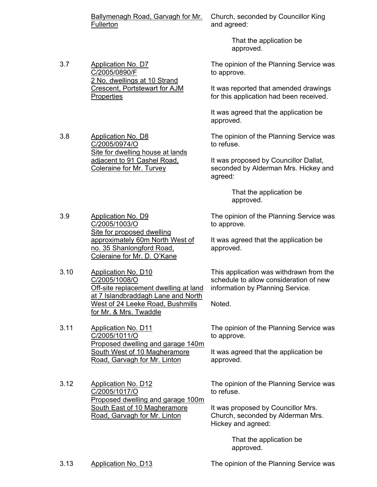Ballymenagh Road, Garvagh for Mr. **Fullerton** 

Church, seconded by Councillor King and agreed:

> That the application be approved.

3.7 Application No. D7 C/2005/0890/F 2 No. dwellings at 10 Strand Crescent, Portstewart for AJM **Properties** 

3.8 Application No. D8 C/2005/0974/O Site for dwelling house at lands adjacent to 91 Cashel Road, Coleraine for Mr. Turvey

The opinion of the Planning Service was to approve.

It was reported that amended drawings for this application had been received.

It was agreed that the application be approved.

The opinion of the Planning Service was to refuse.

It was proposed by Councillor Dallat, seconded by Alderman Mrs. Hickey and agreed:

> That the application be approved.

The opinion of the Planning Service was to approve.

It was agreed that the application be approved.

This application was withdrawn from the schedule to allow consideration of new information by Planning Service.

Noted.

The opinion of the Planning Service was to approve.

It was agreed that the application be approved.

The opinion of the Planning Service was to refuse.

It was proposed by Councillor Mrs. Church, seconded by Alderman Mrs. Hickey and agreed:

> That the application be approved.

3.13 Application No. D13 The opinion of the Planning Service was

- 3.9 Application No. D9 C/2005/1003/O Site for proposed dwelling approximately 60m North West of no. 35 Shanlongford Road, Coleraine for Mr. D. O'Kane
- 3.10 Application No. D10 C/2005/1008/O Off-site replacement dwelling at land at 7 Islandbraddagh Lane and North West of 24 Leeke Road, Bushmills for Mr. & Mrs. Twaddle

3.11 Application No. D11 C/2005/1011/O Proposed dwelling and garage 140m South West of 10 Magheramore Road, Garvagh for Mr. Linton

3.12 Application No. D12 C/2005/1017/O Proposed dwelling and garage 100m South East of 10 Magheramore Road, Garvagh for Mr. Linton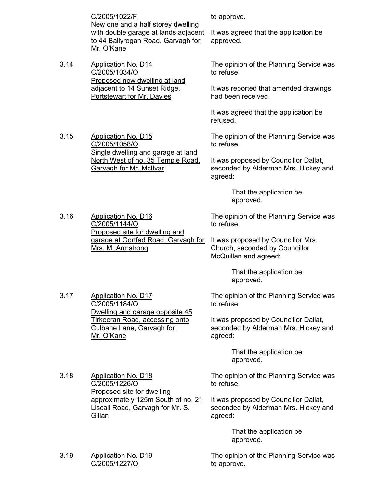C/2005/1022/F New one and a half storey dwelling with double garage at lands adjacent to 44 Ballyrogan Road, Garvagh for Mr. O'Kane

Single dwelling and garage at land North West of no. 35 Temple Road,

3.14 Application No. D14 C/2005/1034/O Proposed new dwelling at land adjacent to 14 Sunset Ridge, Portstewart for Mr. Davies

3.15 Application No. D15 C/2005/1058/O

to approve.

It was agreed that the application be approved.

The opinion of the Planning Service was to refuse.

It was reported that amended drawings had been received.

It was agreed that the application be refused.

The opinion of the Planning Service was to refuse.

It was proposed by Councillor Dallat, seconded by Alderman Mrs. Hickey and agreed:

> That the application be approved.

3.16 Application No. D16 C/2005/1144/O Proposed site for dwelling and garage at Gortfad Road, Garvagh for It was proposed by Councillor Mrs. Mrs. M. Armstrong

Garvagh for Mr. McIlvar

The opinion of the Planning Service was to refuse.

Church, seconded by Councillor McQuillan and agreed:

> That the application be approved.

The opinion of the Planning Service was to refuse.

It was proposed by Councillor Dallat, seconded by Alderman Mrs. Hickey and agreed:

> That the application be approved.

The opinion of the Planning Service was to refuse.

It was proposed by Councillor Dallat, seconded by Alderman Mrs. Hickey and agreed:

> That the application be approved.

The opinion of the Planning Service was to approve.

3.17 Application No. D17 C/2005/1184/O Dwelling and garage opposite 45 Tirkeeran Road, accessing onto Culbane Lane, Garvagh for Mr. O'Kane

3.18 Application No. D18 C/2005/1226/O Proposed site for dwelling approximately 125m South of no. 21 Liscall Road, Garvagh for Mr. S. **Gillan** 

3.19 Application No. D19 C/2005/1227/O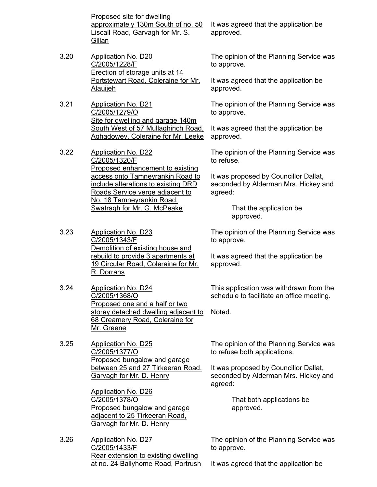Proposed site for dwelling approximately 130m South of no. 50 Liscall Road, Garvagh for Mr. S. **Gillan** 

- 3.20 Application No. D20 C/2005/1228/F Erection of storage units at 14 Portstewart Road, Coleraine for Mr. Alauijeh
- 3.21 Application No. D21 C/2005/1279/O Site for dwelling and garage 140m South West of 57 Mullaghinch Road, Aghadowey, Coleraine for Mr. Leeke
- 3.22 Application No. D22 C/2005/1320/F Proposed enhancement to existing access onto Tamneyrankin Road to include alterations to existing DRD Roads Service verge adjacent to No. 18 Tamneyrankin Road, Swatragh for Mr. G. McPeake
- 3.23 Application No. D23 C/2005/1343/F Demolition of existing house and rebuild to provide 3 apartments at 19 Circular Road, Coleraine for Mr. R. Dorrans
- 3.24 Application No. D24 C/2005/1368/O Proposed one and a half or two storey detached dwelling adjacent to 68 Creamery Road, Coleraine for Mr. Greene
- 3.25 Application No. D25 C/2005/1377/O Proposed bungalow and garage between 25 and 27 Tirkeeran Road, Garvagh for Mr. D. Henry

Application No. D26 C/2005/1378/O Proposed bungalow and garage adjacent to 25 Tirkeeran Road, Garvagh for Mr. D. Henry

3.26 Application No. D27 C/2005/1433/F Rear extension to existing dwelling at no. 24 Ballyhome Road, Portrush It was agreed that the application be approved.

The opinion of the Planning Service was to approve.

It was agreed that the application be approved.

The opinion of the Planning Service was to approve.

It was agreed that the application be approved.

The opinion of the Planning Service was to refuse.

It was proposed by Councillor Dallat, seconded by Alderman Mrs. Hickey and agreed:

> That the application be approved.

The opinion of the Planning Service was to approve.

It was agreed that the application be approved.

This application was withdrawn from the schedule to facilitate an office meeting.

Noted.

The opinion of the Planning Service was to refuse both applications.

It was proposed by Councillor Dallat, seconded by Alderman Mrs. Hickey and agreed:

> That both applications be approved.

The opinion of the Planning Service was to approve.

It was agreed that the application be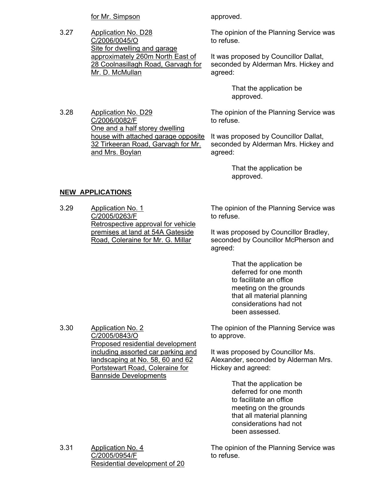for Mr. Simpson approved.

3.27 Application No. D28 C/2006/0045/O Site for dwelling and garage approximately 260m North East of 28 Coolnasillagh Road, Garvagh for Mr. D. McMullan

3.28 Application No. D29 C/2006/0082/F One and a half storey dwelling house with attached garage opposite 32 Tirkeeran Road, Garvagh for Mr. and Mrs. Boylan

The opinion of the Planning Service was to refuse.

It was proposed by Councillor Dallat, seconded by Alderman Mrs. Hickey and agreed:

> That the application be approved.

The opinion of the Planning Service was to refuse.

It was proposed by Councillor Dallat, seconded by Alderman Mrs. Hickey and agreed:

> That the application be approved.

# **NEW APPLICATIONS**

3.30 Application No. 2

C/2005/0843/O

Proposed residential development including assorted car parking and landscaping at No. 58, 60 and 62 Portstewart Road, Coleraine for

Bannside Developments

3.29 Application No. 1 C/2005/0263/F Retrospective approval for vehicle premises at land at 54A Gateside Road, Coleraine for Mr. G. Millar

The opinion of the Planning Service was to refuse.

It was proposed by Councillor Bradley, seconded by Councillor McPherson and agreed:

> That the application be deferred for one month to facilitate an office meeting on the grounds that all material planning considerations had not been assessed.

The opinion of the Planning Service was to approve.

It was proposed by Councillor Ms. Alexander, seconded by Alderman Mrs. Hickey and agreed:

> That the application be deferred for one month to facilitate an office meeting on the grounds that all material planning considerations had not been assessed.

3.31 Application No. 4 C/2005/0954/F Residential development of 20 The opinion of the Planning Service was to refuse.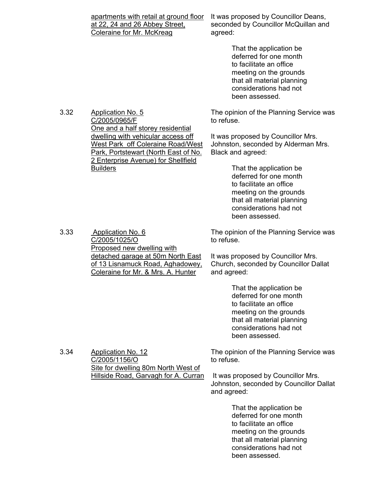|      | apartments with retail at ground floor<br>at 22, 24 and 26 Abbey Street,<br><b>Coleraine for Mr. McKreag</b>                                           | It was proposed by Councillor Deans,<br>seconded by Councillor McQuillan and<br>agreed:                                                                                          |  |
|------|--------------------------------------------------------------------------------------------------------------------------------------------------------|----------------------------------------------------------------------------------------------------------------------------------------------------------------------------------|--|
|      |                                                                                                                                                        | That the application be<br>deferred for one month<br>to facilitate an office<br>meeting on the grounds<br>that all material planning<br>considerations had not<br>been assessed. |  |
| 3.32 | <b>Application No. 5</b><br>C/2005/0965/F<br>One and a half storey residential                                                                         | The opinion of the Planning Service was<br>to refuse.                                                                                                                            |  |
|      | dwelling with vehicular access off<br>West Park off Coleraine Road/West<br>Park, Portstewart (North East of No.<br>2 Enterprise Avenue) for Shellfield | It was proposed by Councillor Mrs.<br>Johnston, seconded by Alderman Mrs.<br>Black and agreed:                                                                                   |  |
|      | <b>Builders</b>                                                                                                                                        | That the application be<br>deferred for one month<br>to facilitate an office<br>meeting on the grounds<br>that all material planning<br>considerations had not<br>been assessed. |  |
| 3.33 | Application No. 6<br>C/2005/1025/O<br>Proposed new dwelling with                                                                                       | The opinion of the Planning Service was<br>to refuse.                                                                                                                            |  |
|      | detached garage at 50m North East<br>of 13 Lisnamuck Road, Aghadowey,<br>Coleraine for Mr. & Mrs. A. Hunter                                            | It was proposed by Councillor Mrs.<br>Church, seconded by Councillor Dallat<br>and agreed:                                                                                       |  |
|      |                                                                                                                                                        | That the application be<br>deferred for one month<br>to facilitate an office<br>meeting on the grounds<br>that all material planning<br>considerations had not<br>been assessed. |  |
| 3.34 | <b>Application No. 12</b><br>C/2005/1156/O                                                                                                             | The opinion of the Planning Service was<br>to refuse.                                                                                                                            |  |
|      | Site for dwelling 80m North West of<br><b>Hillside Road, Garvagh for A. Curran</b>                                                                     | It was proposed by Councillor Mrs.<br>Johnston, seconded by Councillor Dallat<br>and agreed:                                                                                     |  |
|      |                                                                                                                                                        | That the application be<br>deferred for one month<br>to facilitate an office<br>meeting on the grounds<br>that all material planning<br>considerations had not<br>been assessed. |  |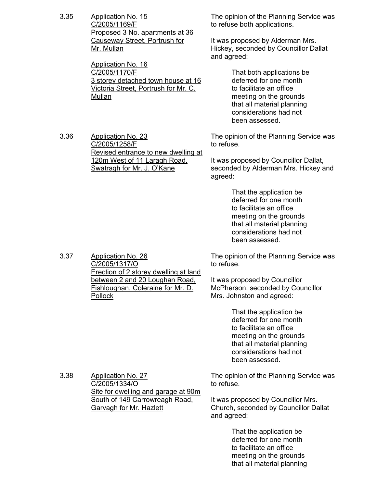3.35 Application No. 15 C/2005/1169/F Proposed 3 No. apartments at 36 Causeway Street, Portrush for Mr. Mullan

3.36 Application No. 23

C/2005/1258/F

Application No. 16 C/2005/1170/F 3 storey detached town house at 16 Victoria Street, Portrush for Mr. C. Mullan

Revised entrance to new dwelling at 120m West of 11 Laragh Road, Swatragh for Mr. J. O'Kane

The opinion of the Planning Service was to refuse both applications.

It was proposed by Alderman Mrs. Hickey, seconded by Councillor Dallat and agreed:

> That both applications be deferred for one month to facilitate an office meeting on the grounds that all material planning considerations had not been assessed.

The opinion of the Planning Service was to refuse.

It was proposed by Councillor Dallat, seconded by Alderman Mrs. Hickey and agreed:

> That the application be deferred for one month to facilitate an office meeting on the grounds that all material planning considerations had not been assessed.

The opinion of the Planning Service was to refuse.

It was proposed by Councillor McPherson, seconded by Councillor Mrs. Johnston and agreed:

> That the application be deferred for one month to facilitate an office meeting on the grounds that all material planning considerations had not been assessed.

The opinion of the Planning Service was to refuse.

It was proposed by Councillor Mrs. Church, seconded by Councillor Dallat and agreed:

> That the application be deferred for one month to facilitate an office meeting on the grounds that all material planning

3.37 Application No. 26 C/2005/1317/O Erection of 2 storey dwelling at land between 2 and 20 Loughan Road, Fishloughan, Coleraine for Mr. D. Pollock

3.38 Application No. 27 C/2005/1334/O Site for dwelling and garage at 90m South of 149 Carrowreagh Road, Garvagh for Mr. Hazlett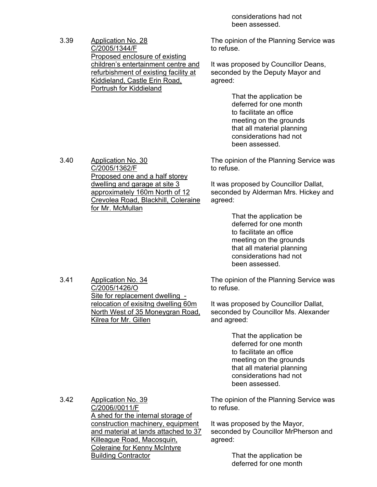considerations had not been assessed.

3.39 Application No. 28 C/2005/1344/F Proposed enclosure of existing children's entertainment centre and refurbishment of existing facility at Kiddieland, Castle Erin Road, Portrush for Kiddieland

The opinion of the Planning Service was to refuse.

It was proposed by Councillor Deans, seconded by the Deputy Mayor and agreed:

> That the application be deferred for one month to facilitate an office meeting on the grounds that all material planning considerations had not been assessed.

The opinion of the Planning Service was to refuse.

It was proposed by Councillor Dallat, seconded by Alderman Mrs. Hickey and agreed:

> That the application be deferred for one month to facilitate an office meeting on the grounds that all material planning considerations had not been assessed.

The opinion of the Planning Service was to refuse.

It was proposed by Councillor Dallat, seconded by Councillor Ms. Alexander and agreed:

> That the application be deferred for one month to facilitate an office meeting on the grounds that all material planning considerations had not been assessed.

The opinion of the Planning Service was to refuse.

It was proposed by the Mayor, seconded by Councillor MrPherson and agreed:

> That the application be deferred for one month

3.40 Application No. 30 C/2005/1362/F Proposed one and a half storey dwelling and garage at site 3 approximately 160m North of 12 Crevolea Road, Blackhill, Coleraine for Mr. McMullan

3.41 Application No. 34 C/2005/1426/O Site for replacement dwelling relocation of exisitng dwelling 60m North West of 35 Moneygran Road, Kilrea for Mr. Gillen

3.42 Application No. 39 C/2006//0011/F A shed for the internal storage of construction machinery, equipment and material at lands attached to 37 Killeague Road, Macosquin, Coleraine for Kenny McIntyre Building Contractor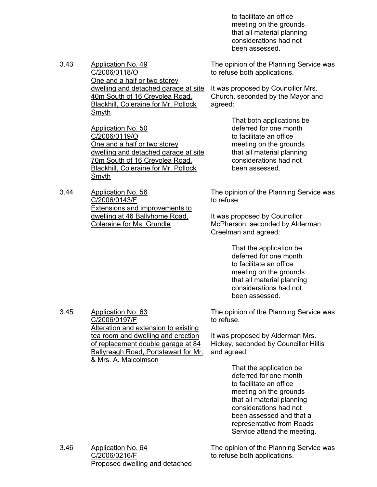to facilitate an office meeting on the grounds that all material planning considerations had not been assessed.

3.43 Application No. 49 C/2006/0118/O One and a half or two storey dwelling and detached garage at site 40m South of 16 Crevolea Road, Blackhill, Coleraine for Mr. Pollock Smyth

> Application No. 50 C/2006/0119/O One and a half or two storey dwelling and detached garage at site 70m South of 16 Crevolea Road, Blackhill, Coleraine for Mr. Pollock Smyth

3.44 Application No. 56 C/2006/0143/F Extensions and improvements to dwelling at 46 Ballyhome Road, Coleraine for Ms. Grundle

C/2006/0197/F

& Mrs. A. Malcolmson

Alteration and extension to existing tea room and dwelling and erection of replacement double garage at 84 Ballyreagh Road, Portstewart for Mr. The opinion of the Planning Service was to refuse both applications.

It was proposed by Councillor Mrs. Church, seconded by the Mayor and agreed:

> That both applications be deferred for one month to facilitate an office meeting on the grounds that all material planning considerations had not been assessed.

The opinion of the Planning Service was to refuse.

It was proposed by Councillor McPherson, seconded by Alderman Creelman and agreed:

> That the application be deferred for one month to facilitate an office meeting on the grounds that all material planning considerations had not been assessed.

The opinion of the Planning Service was to refuse.

It was proposed by Alderman Mrs. Hickey, seconded by Councillor Hillis and agreed:

> That the application be deferred for one month to facilitate an office meeting on the grounds that all material planning considerations had not been assessed and that a representative from Roads Service attend the meeting.

3.46 Application No. 64 C/2006/0216/F Proposed dwelling and detached The opinion of the Planning Service was to refuse both applications.

3.45 Application No. 63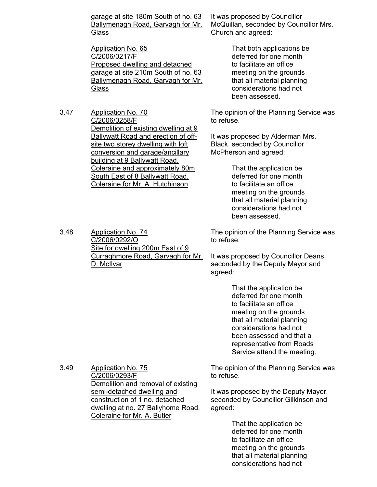garage at site 180m South of no. 63 Ballymenagh Road, Garvagh for Mr. **Glass** 

Application No. 65 C/2006/0217/F Proposed dwelling and detached garage at site 210m South of no. 63 Ballymenagh Road, Garvagh for Mr. **Glass** 

3.47 Application No. 70 C/2006/0258/F Demolition of existing dwelling at 9 Ballywatt Road and erection of offsite two storey dwelling with loft conversion and garage/ancillary building at 9 Ballywatt Road, Coleraine and approximately 80m South East of 8 Ballywatt Road, Coleraine for Mr. A. Hutchinson

It was proposed by Councillor McQuillan, seconded by Councillor Mrs. Church and agreed:

> That both applications be deferred for one month to facilitate an office meeting on the grounds that all material planning considerations had not been assessed.

The opinion of the Planning Service was to refuse.

It was proposed by Alderman Mrs. Black, seconded by Councillor McPherson and agreed:

> That the application be deferred for one month to facilitate an office meeting on the grounds that all material planning considerations had not been assessed.

The opinion of the Planning Service was to refuse.

It was proposed by Councillor Deans, seconded by the Deputy Mayor and agreed:

> That the application be deferred for one month to facilitate an office meeting on the grounds that all material planning considerations had not been assessed and that a representative from Roads Service attend the meeting.

The opinion of the Planning Service was to refuse.

It was proposed by the Deputy Mayor, seconded by Councillor Gilkinson and agreed:

> That the application be deferred for one month to facilitate an office meeting on the grounds that all material planning considerations had not

3.48 Application No. 74 C/2006/0292/O Site for dwelling 200m East of 9 Curraghmore Road, Garvagh for Mr. D. McIlvar

3.49 Application No. 75 C/2006/0293/F Demolition and removal of existing semi-detached dwelling and construction of 1 no. detached dwelling at no. 27 Ballyhome Road, Coleraine for Mr. A. Butler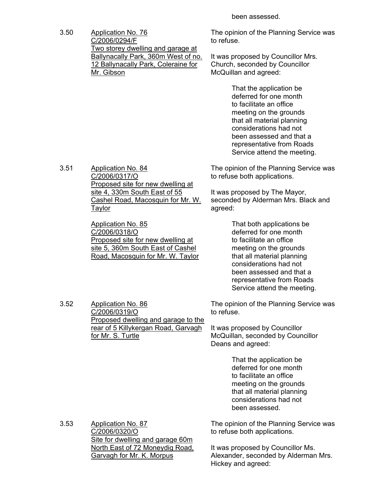been assessed.

3.50 Application No. 76 C/2006/0294/F Two storey dwelling and garage at Ballynacally Park, 360m West of no. 12 Ballynacally Park, Coleraine for Mr. Gibson

The opinion of the Planning Service was to refuse.

It was proposed by Councillor Mrs. Church, seconded by Councillor McQuillan and agreed:

> That the application be deferred for one month to facilitate an office meeting on the grounds that all material planning considerations had not been assessed and that a representative from Roads Service attend the meeting.

The opinion of the Planning Service was to refuse both applications.

It was proposed by The Mayor, seconded by Alderman Mrs. Black and agreed:

> That both applications be deferred for one month to facilitate an office meeting on the grounds that all material planning considerations had not been assessed and that a representative from Roads Service attend the meeting.

3.52 Application No. 86 C/2006/0319/O Proposed dwelling and garage to the rear of 5 Killykergan Road, Garvagh for Mr. S. Turtle

The opinion of the Planning Service was to refuse.

It was proposed by Councillor McQuillan, seconded by Councillor Deans and agreed:

> That the application be deferred for one month to facilitate an office meeting on the grounds that all material planning considerations had not been assessed.

3.53 Application No. 87 C/2006/0320/O Site for dwelling and garage 60m North East of 72 Moneydig Road, Garvagh for Mr. K. Morpus

The opinion of the Planning Service was to refuse both applications.

It was proposed by Councillor Ms. Alexander, seconded by Alderman Mrs. Hickey and agreed:

3.51 Application No. 84 C/2006/0317/O Proposed site for new dwelling at site 4, 330m South East of 55 Cashel Road, Macosquin for Mr. W. Taylor

> Application No. 85 C/2006/0318/O Proposed site for new dwelling at site 5, 360m South East of Cashel Road, Macosquin for Mr. W. Taylor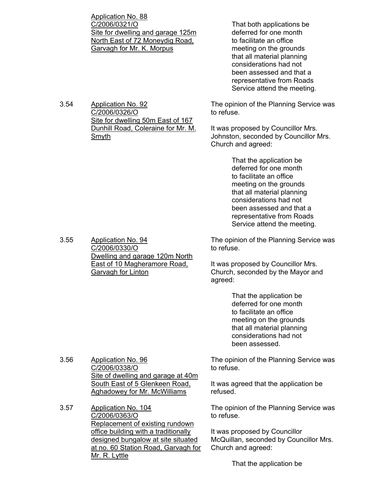Application No. 88 C/2006/0321/O Site for dwelling and garage 125m North East of 72 Moneydig Road, Garvagh for Mr. K. Morpus

3.54 Application No. 92 C/2006/0326/O Site for dwelling 50m East of 167 Dunhill Road, Coleraine for Mr. M. Smyth

 That both applications be deferred for one month to facilitate an office meeting on the grounds that all material planning considerations had not been assessed and that a representative from Roads Service attend the meeting.

The opinion of the Planning Service was to refuse.

It was proposed by Councillor Mrs. Johnston, seconded by Councillor Mrs. Church and agreed:

> That the application be deferred for one month to facilitate an office meeting on the grounds that all material planning considerations had not been assessed and that a representative from Roads Service attend the meeting.

The opinion of the Planning Service was to refuse.

It was proposed by Councillor Mrs. Church, seconded by the Mayor and agreed:

> That the application be deferred for one month to facilitate an office meeting on the grounds that all material planning considerations had not been assessed.

The opinion of the Planning Service was to refuse.

It was agreed that the application be refused.

The opinion of the Planning Service was to refuse.

It was proposed by Councillor McQuillan, seconded by Councillor Mrs. Church and agreed:

That the application be

3.55 Application No. 94 C/2006/0330/O Dwelling and garage 120m North East of 10 Magheramore Road, Garvagh for Linton

3.56 Application No. 96 C/2006/0338/O Site of dwelling and garage at 40m South East of 5 Glenkeen Road, Aghadowey for Mr. McWilliams

3.57 Application No. 104 C/2006/0363/O Replacement of existing rundown office building with a traditionally designed bungalow at site situated at no. 60 Station Road, Garvagh for Mr. R. Lyttle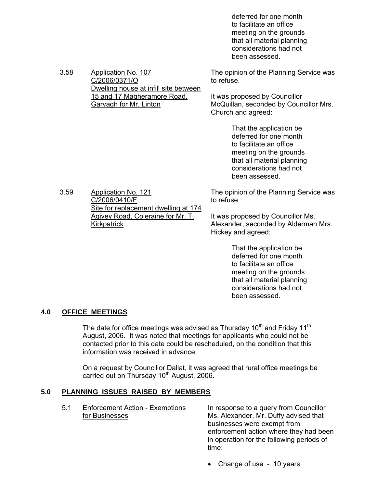deferred for one month to facilitate an office meeting on the grounds that all material planning considerations had not been assessed.

| 3.58 | Application No. 107<br>C/2006/0371/O<br>Dwelling house at infill site between<br>15 and 17 Magheramore Road,<br>Garvagh for Mr. Linton                | The opinion of the Planning Service was<br>to refuse.                                                                                                                            |
|------|-------------------------------------------------------------------------------------------------------------------------------------------------------|----------------------------------------------------------------------------------------------------------------------------------------------------------------------------------|
|      |                                                                                                                                                       | It was proposed by Councillor<br>McQuillan, seconded by Councillor Mrs.<br>Church and agreed:                                                                                    |
|      |                                                                                                                                                       | That the application be<br>deferred for one month<br>to facilitate an office<br>meeting on the grounds<br>that all material planning<br>considerations had not<br>been assessed. |
| 3.59 | <b>Application No. 121</b><br>C/2006/0410/F<br>Site for replacement dwelling at 174<br><b>Agivey Road, Coleraine for Mr. T.</b><br><u>Kirkpatrick</u> | The opinion of the Planning Service was<br>to refuse.                                                                                                                            |
|      |                                                                                                                                                       | It was proposed by Councillor Ms.<br>Alexander, seconded by Alderman Mrs.<br>Hickey and agreed:                                                                                  |
|      |                                                                                                                                                       | That the annlication he                                                                                                                                                          |

inat the application be deferred for one month to facilitate an office meeting on the grounds that all material planning considerations had not been assessed.

### **4.0 OFFICE MEETINGS**

The date for office meetings was advised as Thursday 10<sup>th</sup> and Friday 11<sup>th</sup> August, 2006. It was noted that meetings for applicants who could not be contacted prior to this date could be rescheduled, on the condition that this information was received in advance.

On a request by Councillor Dallat, it was agreed that rural office meetings be carried out on Thursday  $10<sup>th</sup>$  August, 2006.

### **5.0 PLANNING ISSUES RAISED BY MEMBERS**

5.1 Enforcement Action - Exemptions In response to a query from Councillor for Businesses **Music Alexander**, Mr. Duffy advised that businesses were exempt from enforcement action where they had been in operation for the following periods of time:

• Change of use - 10 years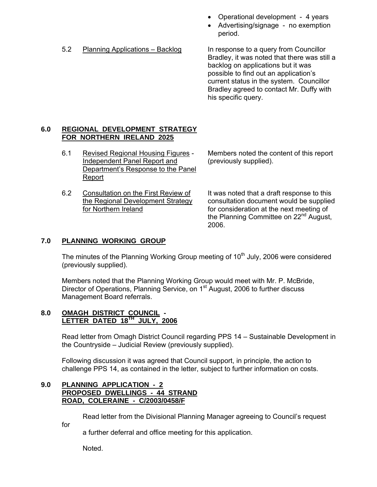- Operational development 4 years
- Advertising/signage no exemption period.

5.2 Planning Applications – Backlog In response to a query from Councillor

Bradley, it was noted that there was still a backlog on applications but it was possible to find out an application's current status in the system. Councillor Bradley agreed to contact Mr. Duffy with his specific query.

### **6.0 REGIONAL DEVELOPMENT STRATEGY FOR NORTHERN IRELAND 2025**

- 6.1 Revised Regional Housing Figures Members noted the content of this report Independent Panel Report and (previously supplied). Department's Response to the Panel Report
- 6.2 Consultation on the First Review of It was noted that a draft response to this

the Regional Development Strategy consultation document would be supplied for Northern Ireland for consideration at the next meeting of the Planning Committee on 22<sup>nd</sup> August. 2006.

# **7.0 PLANNING WORKING GROUP**

The minutes of the Planning Working Group meeting of  $10<sup>th</sup>$  July, 2006 were considered (previously supplied).

Members noted that the Planning Working Group would meet with Mr. P. McBride, Director of Operations, Planning Service, on 1<sup>st</sup> August, 2006 to further discuss Management Board referrals.

#### **8.0 OMAGH DISTRICT COUNCIL - LETTER DATED 18TH JULY, 2006**

Read letter from Omagh District Council regarding PPS 14 – Sustainable Development in the Countryside – Judicial Review (previously supplied).

Following discussion it was agreed that Council support, in principle, the action to challenge PPS 14, as contained in the letter, subject to further information on costs.

### **9.0 PLANNING APPLICATION - 2 PROPOSED DWELLINGS - 44 STRAND ROAD, COLERAINE - C/2003/0458/F**

Read letter from the Divisional Planning Manager agreeing to Council's request

for

a further deferral and office meeting for this application.

Noted.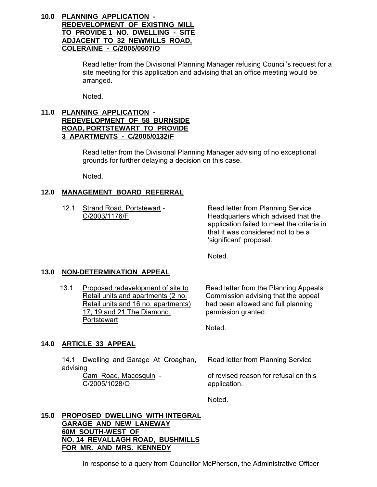### **10.0 PLANNING APPLICATION - REDEVELOPMENT OF EXISTING MILL TO PROVIDE 1 NO. DWELLING - SITE ADJACENT TO 32 NEWMILLS ROAD, COLERAINE - C/2005/0607/O**

Read letter from the Divisional Planning Manager refusing Council's request for a site meeting for this application and advising that an office meeting would be arranged.

Noted.

## **11.0 PLANNING APPLICATION - REDEVELOPMENT OF 58 BURNSIDE ROAD, PORTSTEWART TO PROVIDE 3 APARTMENTS - C/2005/0132/F**

 Read letter from the Divisional Planning Manager advising of no exceptional grounds for further delaying a decision on this case.

Noted.

# **12.0 MANAGEMENT BOARD REFERRAL**

12.1 Strand Road, Portstewart - Read letter from Planning Service C/2003/1176/F Headquarters which advised that the application failed to meet the criteria in that it was considered not to be a 'significant' proposal.

Noted.

# **13.0 NON-DETERMINATION APPEAL**

13.1 Proposed redevelopment of site to Retail units and apartments (2 no. Retail units and 16 no. apartments) 17, 19 and 21 The Diamond, **Portstewart** 

Read letter from the Planning Appeals Commission advising that the appeal had been allowed and full planning permission granted.

Noted.

# **14.0 ARTICLE 33 APPEAL**

|          | 14.1 Dwelling and Garage At Croaghan, | Read letter from Planning Service     |  |  |  |
|----------|---------------------------------------|---------------------------------------|--|--|--|
| advising |                                       |                                       |  |  |  |
|          | Cam Road, Macosquin -                 | of revised reason for refusal on this |  |  |  |
|          | C/2005/1028/O                         | application.                          |  |  |  |
|          |                                       |                                       |  |  |  |

Noted.

#### **15.0 PROPOSED DWELLING WITH INTEGRAL GARAGE AND NEW LANEWAY 60M SOUTH-WEST OF NO. 14 REVALLAGH ROAD, BUSHMILLS FOR MR. AND MRS. KENNEDY**

In response to a query from Councillor McPherson, the Administrative Officer